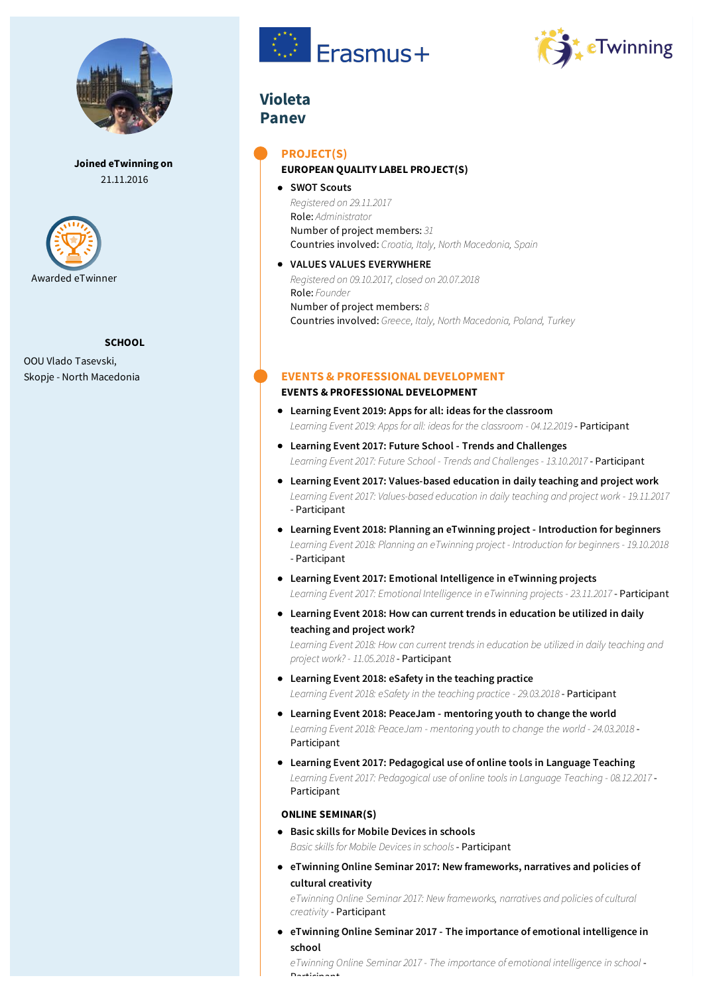

**Joined eTwinning on** 21.11.2016



### **SCHOOL**

OOU Vlado Tasevski, Skopje - North Macedonia





# **Violeta Panev**

## **PROJECT(S)**

### **EUROPEAN QUALITY LABEL PROJECT(S)**

#### **SWOT Scouts**

*Registered on 29.11.2017* Role: *Administrator* Number of project members: *31* Countries involved: *Croatia, Italy, North Macedonia, Spain*

**VALUES VALUES EVERYWHERE** *Registered on 09.10.2017, closed on 20.07.2018* Role: *Founder*

Number of project members: *8* Countries involved: *Greece, Italy, North Macedonia, Poland, Turkey*

### **EVENTS & PROFESSIONAL DEVELOPMENT**

**EVENTS & PROFESSIONAL DEVELOPMENT**

- **Learning Event 2019: Apps for all: ideas for the classroom** *Learning Event 2019: Appsfor all: ideasfor the classroom - 04.12.2019* - Participant
- **Learning Event 2017: Future School - Trends and Challenges** *Learning Event 2017: Future School - Trends and Challenges- 13.10.2017* - Participant
- **Learning Event 2017: Values-based education in daily teaching and project work** *Learning Event 2017: Values-based education in daily teaching and project work - 19.11.2017* - Participant
- **Learning Event 2018: Planning an eTwinning project - Introduction for beginners** *Learning Event 2018: Planning an eTwinning project - Introduction for beginners- 19.10.2018* - Participant
- **Learning Event 2017: Emotional Intelligence in eTwinning projects** *Learning Event 2017: Emotional Intelligence in eTwinning projects- 23.11.2017* - Participant
- **Learning Event 2018: How can current trends in education be utilized in daily teaching and project work?** *Learning Event 2018: How can current trendsin education be utilized in daily teaching and*

*project work? - 11.05.2018* - Participant

- **Learning Event 2018: eSafety in the teaching practice** *Learning Event 2018: eSafety in the teaching practice - 29.03.2018* - Participant
- **Learning Event 2018: PeaceJam - mentoring youth to change the world** *Learning Event 2018: PeaceJam - mentoring youth to change the world - 24.03.2018* - Participant
- **Learning Event 2017: Pedagogical use of online tools in Language Teaching** *Learning Event 2017: Pedagogical use of online toolsin Language Teaching - 08.12.2017* - Participant

### **ONLINE SEMINAR(S)**

- **Basic skills for Mobile Devices in schools** *Basic skillsfor Mobile Devicesin schools*- Participant
- **eTwinning Online Seminar 2017: New frameworks, narratives and policies of cultural creativity**

*eTwinning Online Seminar 2017: New frameworks, narratives and policies of cultural creativity* - Participant

**eTwinning Online Seminar 2017 - The importance of emotional intelligence in school**

*eTwinning Online Seminar 2017 - The importance of emotional intelligence in school* - Participant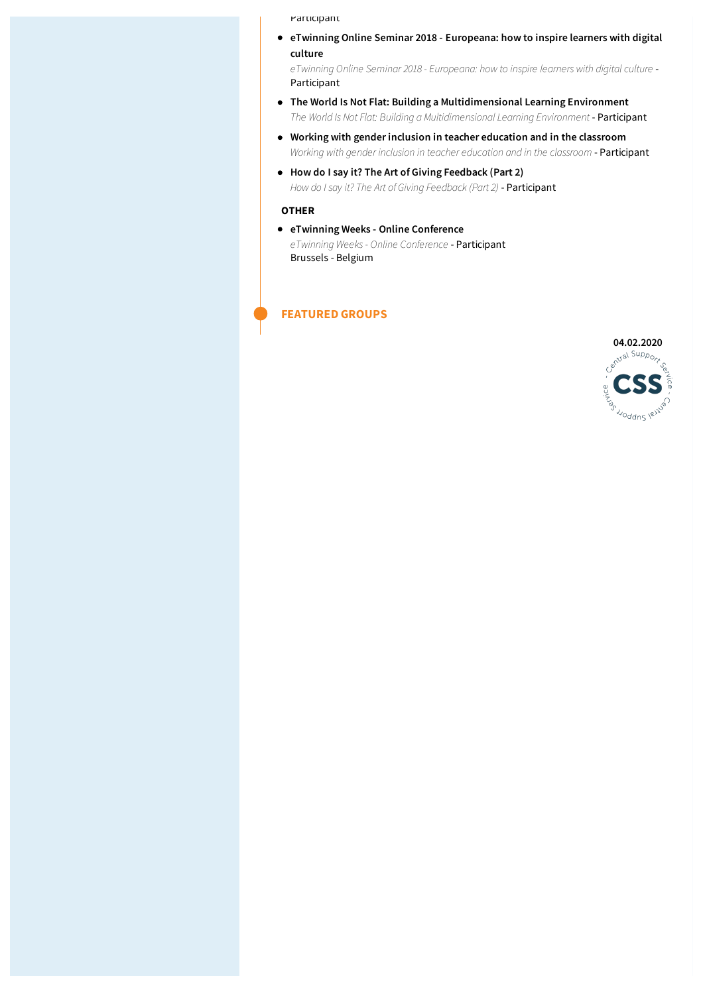#### Participant

**eTwinning Online Seminar 2018 - Europeana: how to inspire learners with digital culture**

*eTwinning Online Seminar 2018 - Europeana: how to inspire learners with digital culture* - Participant

- **The World Is Not Flat: Building a Multidimensional Learning Environment** *The World Is Not Flat: Building a Multidimensional Learning Environment* - Participant
- **Working with gender inclusion in teacher education and in the classroom** *Working with gender inclusion in teacher education and in the classroom* - Participant
- **How do I say it? The Art of Giving Feedback (Part 2)** *How do I say it? The Art of Giving Feedback (Part 2)* - Participant

#### **OTHER**

**eTwinning Weeks - Online Conference** *eTwinning Weeks- Online Conference* - Participant Brussels - Belgium

### **FEATURED GROUPS**